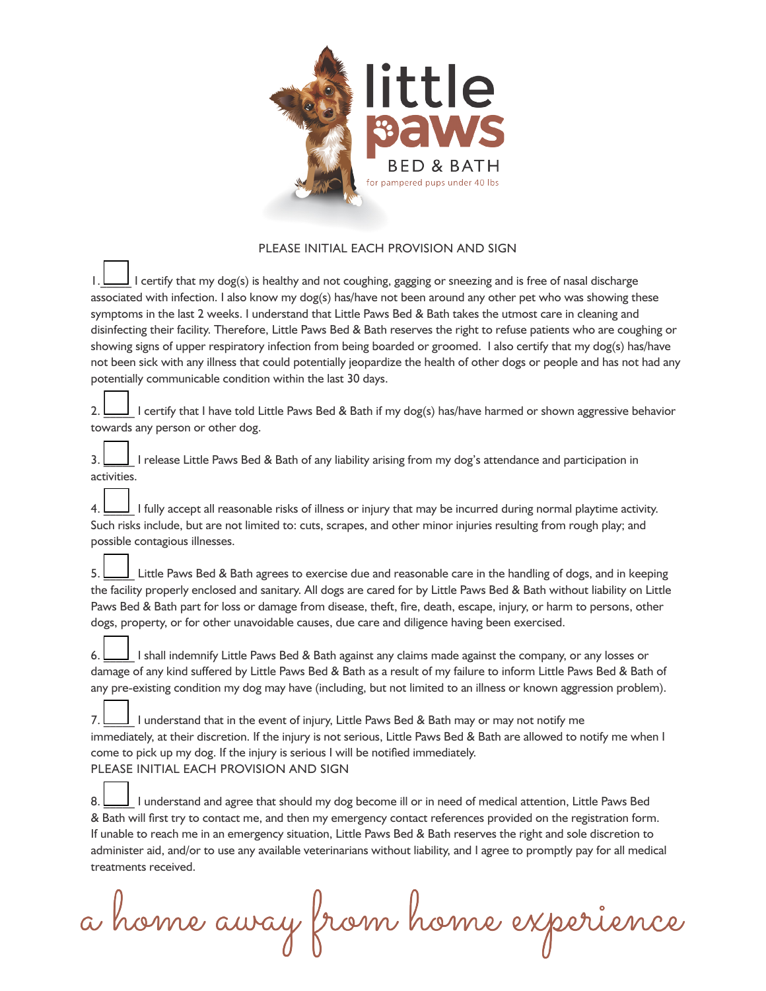

## PLEASE INITIAL EACH PROVISION AND SIGN

1 certify that my dog(s) is healthy and not coughing, gagging or sneezing and is free of nasal discharge associated with infection. I also know my dog(s) has/have not been around any other pet who was showing these symptoms in the last 2 weeks. I understand that Little Paws Bed & Bath takes the utmost care in cleaning and disinfecting their facility. Therefore, Little Paws Bed & Bath reserves the right to refuse patients who are coughing or showing signs of upper respiratory infection from being boarded or groomed. I also certify that my dog(s) has/have not been sick with any illness that could potentially jeopardize the health of other dogs or people and has not had any potentially communicable condition within the last 30 days.

2. \_\_\_\_\_ I certify that I have told Little Paws Bed & Bath if my dog(s) has/have harmed or shown aggressive behavior towards any person or other dog.

3. \_\_\_\_\_ I release Little Paws Bed & Bath of any liability arising from my dog's attendance and participation in activities.

4. \_\_\_\_\_ I fully accept all reasonable risks of illness or injury that may be incurred during normal playtime activity. Such risks include, but are not limited to: cuts, scrapes, and other minor injuries resulting from rough play; and possible contagious illnesses.

5. \_\_\_\_\_ Little Paws Bed & Bath agrees to exercise due and reasonable care in the handling of dogs, and in keeping the facility properly enclosed and sanitary. All dogs are cared for by Little Paws Bed & Bath without liability on Little Paws Bed & Bath part for loss or damage from disease, theft, fire, death, escape, injury, or harm to persons, other dogs, property, or for other unavoidable causes, due care and diligence having been exercised.

6. \_\_\_\_\_ I shall indemnify Little Paws Bed & Bath against any claims made against the company, or any losses or damage of any kind suffered by Little Paws Bed & Bath as a result of my failure to inform Little Paws Bed & Bath of any pre-existing condition my dog may have (including, but not limited to an illness or known aggression problem).

7. \_\_\_\_\_ I understand that in the event of injury, Little Paws Bed & Bath may or may not notify me immediately, at their discretion. If the injury is not serious, Little Paws Bed & Bath are allowed to notify me when I come to pick up my dog. If the injury is serious I will be notified immediately. PLEASE INITIAL EACH PROVISION AND SIGN

8. \_\_\_\_\_ I understand and agree that should my dog become ill or in need of medical attention, Little Paws Bed & Bath will first try to contact me, and then my emergency contact references provided on the registration form. If unable to reach me in an emergency situation, Little Paws Bed & Bath reserves the right and sole discretion to administer aid, and/or to use any available veterinarians without liability, and I agree to promptly pay for all medical treatments received.

a home away from home experience